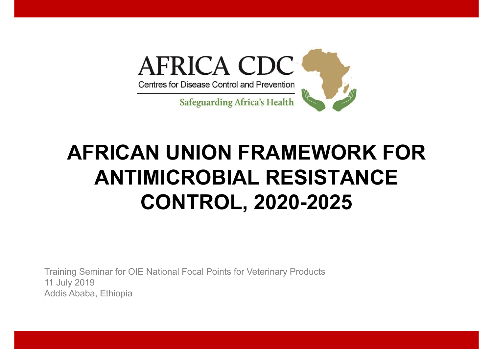

# **AFRICAN UNION FRAMEWORK FOR ANTIMICROBIAL RESISTANCE CONTROL, 2020-2025**

Training Seminar for OIE National Focal Points for Veterinary Products 11 July 2019 Addis Ababa, Ethiopia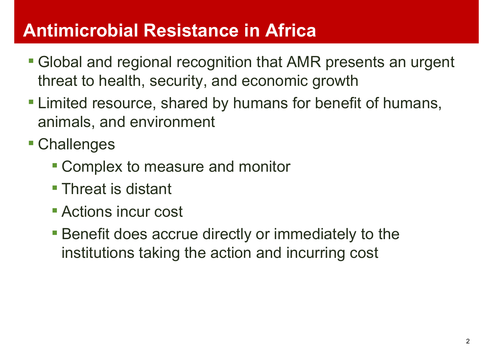#### **Antimicrobial Resistance in Africa**

- **Global and regional recognition that AMR presents an urgent** threat to health, security, and economic growth
- **. Limited resource, shared by humans for benefit of humans,** animals, and environment
- Challenges
	- **EX Complex to measure and monitor**
	- **Threat is distant**
	- **E** Actions incur cost
	- **Benefit does accrue directly or immediately to the** institutions taking the action and incurring cost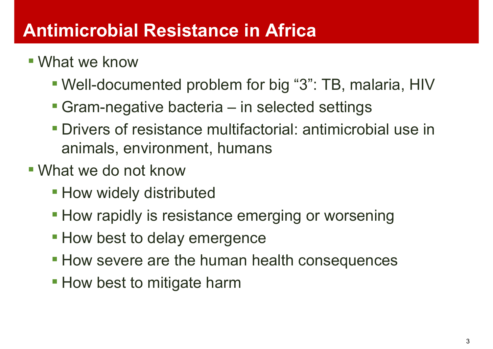#### **Antimicrobial Resistance in Africa**

- **.** What we know
	- Well-documented problem for big "3": TB, malaria, HIV
	- **Gram-negative bacteria in selected settings**
	- Drivers of resistance multifactorial: antimicrobial use in animals, environment, humans
- What we do not know
	- **. How widely distributed**
	- **How rapidly is resistance emerging or worsening**
	- **How best to delay emergence**
	- **How severe are the human health consequences**
	- **. How best to mitigate harm**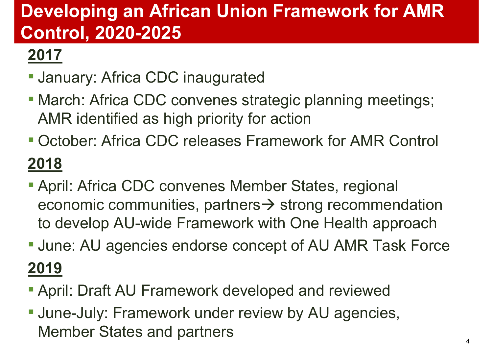# **Developing an African Union Framework for AMR Control, 2020-2025**

## **2017**

- **Uanuary: Africa CDC inaugurated**
- **March: Africa CDC convenes strategic planning meetings;** AMR identified as high priority for action
- October: Africa CDC releases Framework for AMR Control **2018**
- **April: Africa CDC convenes Member States, regional** economic communities, partners $\rightarrow$  strong recommendation to develop AU-wide Framework with One Health approach
- **June: AU agencies endorse concept of AU AMR Task Force 2019**
- **April: Draft AU Framework developed and reviewed**
- **June-July: Framework under review by AU agencies,** Member States and partners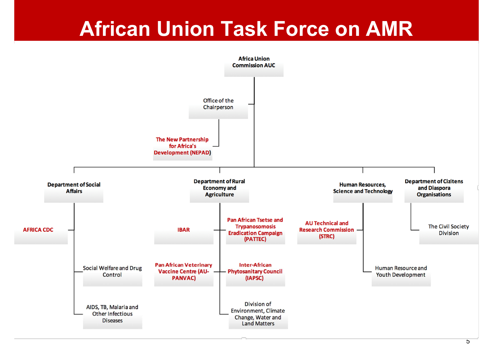# **African Union Task Force on AMR**

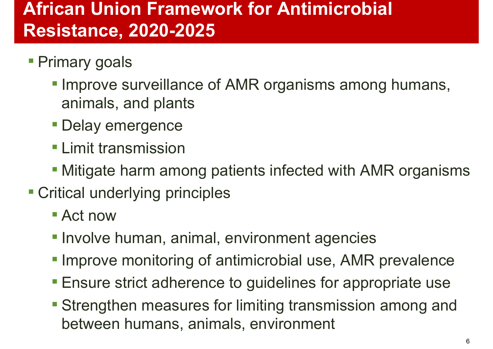### **African Union Framework for Antimicrobial Resistance, 2020-2025**

- **Primary goals** 
	- **. Improve surveillance of AMR organisms among humans,** animals, and plants
	- **Delay emergence**
	- **ELimit transmission**
	- **. Mitigate harm among patients infected with AMR organisms**
- **Example 1 Critical underlying principles** 
	- Act now
	- **. Involve human, animal, environment agencies**
	- **. Improve monitoring of antimicrobial use, AMR prevalence**
	- **Ensure strict adherence to guidelines for appropriate use**
	- **Strengthen measures for limiting transmission among and** between humans, animals, environment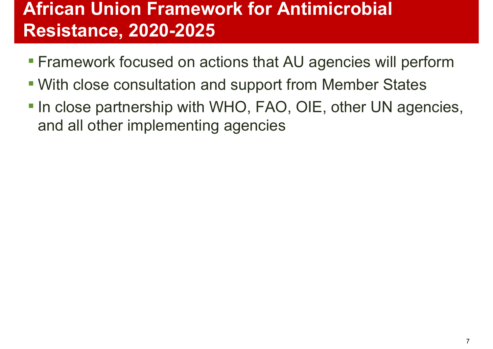### **African Union Framework for Antimicrobial Resistance, 2020-2025**

- **Examework focused on actions that AU agencies will perform**
- With close consultation and support from Member States
- **In close partnership with WHO, FAO, OIE, other UN agencies,** and all other implementing agencies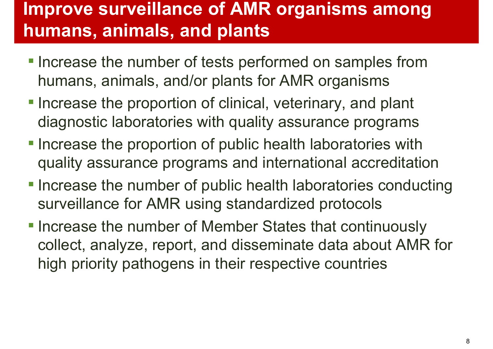#### **Improve surveillance of AMR organisms among humans, animals, and plants**

- **. Increase the number of tests performed on samples from** humans, animals, and/or plants for AMR organisms
- **-Increase the proportion of clinical, veterinary, and plant** diagnostic laboratories with quality assurance programs
- **-Increase the proportion of public health laboratories with** quality assurance programs and international accreditation
- **-Increase the number of public health laboratories conducting** surveillance for AMR using standardized protocols
- **-Increase the number of Member States that continuously** collect, analyze, report, and disseminate data about AMR for high priority pathogens in their respective countries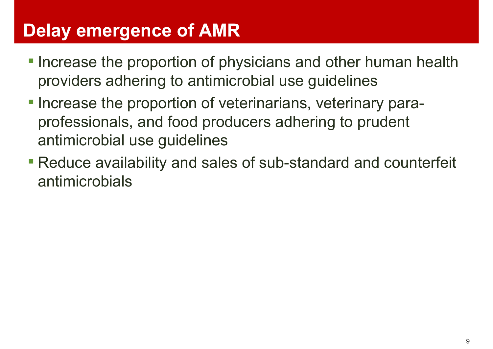### **Delay emergence of AMR**

- **.** Increase the proportion of physicians and other human health providers adhering to antimicrobial use guidelines
- **-Increase the proportion of veterinarians, veterinary para**professionals, and food producers adhering to prudent antimicrobial use guidelines
- **Reduce availability and sales of sub-standard and counterfeit** antimicrobials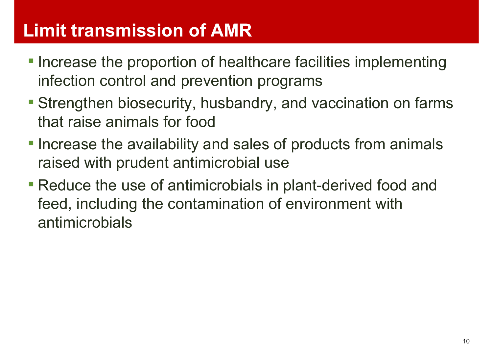#### **Limit transmission of AMR**

- **-Increase the proportion of healthcare facilities implementing** infection control and prevention programs
- **Extrengthen biosecurity, husbandry, and vaccination on farms** that raise animals for food
- **. Increase the availability and sales of products from animals** raised with prudent antimicrobial use
- **Reduce the use of antimicrobials in plant-derived food and** feed, including the contamination of environment with antimicrobials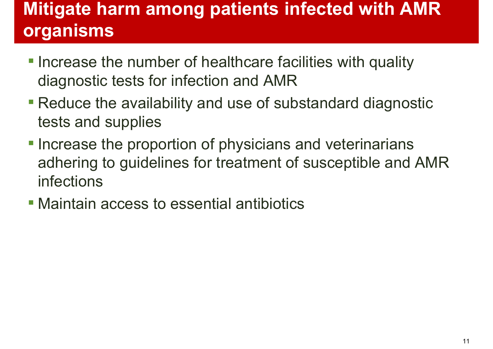# **Mitigate harm among patients infected with AMR organisms**

- **. Increase the number of healthcare facilities with quality** diagnostic tests for infection and AMR
- **Reduce the availability and use of substandard diagnostic** tests and supplies
- **-Increase the proportion of physicians and veterinarians** adhering to guidelines for treatment of susceptible and AMR infections
- **Maintain access to essential antibiotics**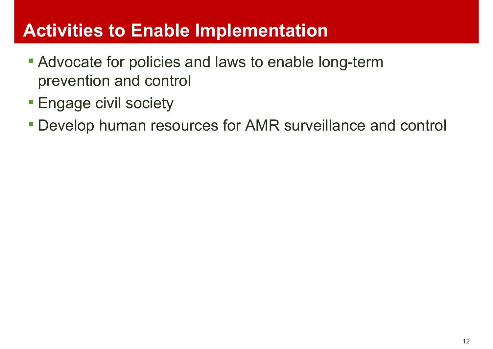#### **Activities to Enable Implementation**

- **Advocate for policies and laws to enable long-term** prevention and control
- **Engage civil society**
- Develop human resources for AMR surveillance and control